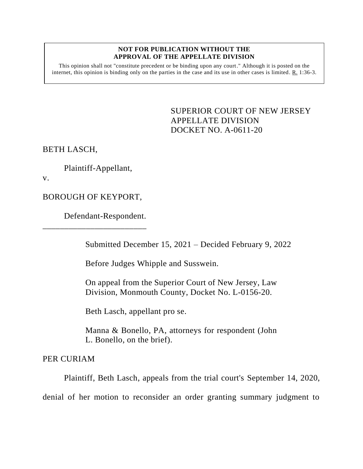## **NOT FOR PUBLICATION WITHOUT THE APPROVAL OF THE APPELLATE DIVISION**

This opinion shall not "constitute precedent or be binding upon any court." Although it is posted on the internet, this opinion is binding only on the parties in the case and its use in other cases is limited. R. 1:36-3.

> <span id="page-0-0"></span>SUPERIOR COURT OF NEW JERSEY APPELLATE DIVISION DOCKET NO. A-0611-20

BETH LASCH,

Plaintiff-Appellant,

v.

BOROUGH OF KEYPORT,

\_\_\_\_\_\_\_\_\_\_\_\_\_\_\_\_\_\_\_\_\_\_\_\_

Defendant-Respondent.

Submitted December 15, 2021 – Decided February 9, 2022

Before Judges Whipple and Susswein.

On appeal from the Superior Court of New Jersey, Law Division, Monmouth County, Docket No. L-0156-20.

Beth Lasch, appellant pro se.

Manna & Bonello, PA, attorneys for respondent (John L. Bonello, on the brief).

PER CURIAM

Plaintiff, Beth Lasch, appeals from the trial court's September 14, 2020, denial of her motion to reconsider an order granting summary judgment to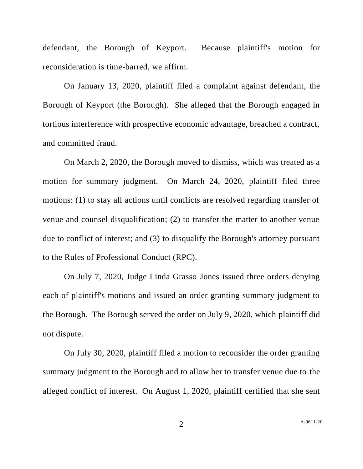defendant, the Borough of Keyport. Because plaintiff's motion for reconsideration is time-barred, we affirm.

On January 13, 2020, plaintiff filed a complaint against defendant, the Borough of Keyport (the Borough). She alleged that the Borough engaged in tortious interference with prospective economic advantage, breached a contract, and committed fraud.

On March 2, 2020, the Borough moved to dismiss, which was treated as a motion for summary judgment. On March 24, 2020, plaintiff filed three motions: (1) to stay all actions until conflicts are resolved regarding transfer of venue and counsel disqualification; (2) to transfer the matter to another venue due to conflict of interest; and (3) to disqualify the Borough's attorney pursuant to the Rules of Professional Conduct (RPC).

On July 7, 2020, Judge Linda Grasso Jones issued three orders denying each of plaintiff's motions and issued an order granting summary judgment to the Borough. The Borough served the order on July 9, 2020, which plaintiff did not dispute.

On July 30, 2020, plaintiff filed a motion to reconsider the order granting summary judgment to the Borough and to allow her to transfer venue due to the alleged conflict of interest. On August 1, 2020, plaintiff certified that she sent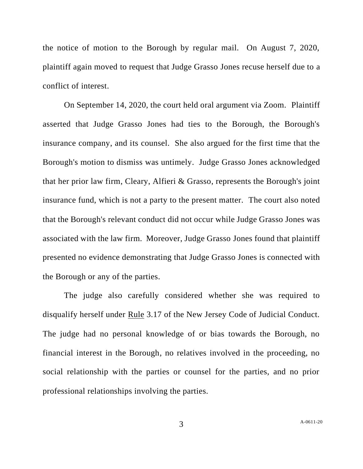the notice of motion to the Borough by regular mail. On August 7, 2020, plaintiff again moved to request that Judge Grasso Jones recuse herself due to a conflict of interest.

On September 14, 2020, the court held oral argument via Zoom. Plaintiff asserted that Judge Grasso Jones had ties to the Borough, the Borough's insurance company, and its counsel. She also argued for the first time that the Borough's motion to dismiss was untimely. Judge Grasso Jones acknowledged that her prior law firm, Cleary, Alfieri & Grasso, represents the Borough's joint insurance fund, which is not a party to the present matter. The court also noted that the Borough's relevant conduct did not occur while Judge Grasso Jones was associated with the law firm. Moreover, Judge Grasso Jones found that plaintiff presented no evidence demonstrating that Judge Grasso Jones is connected with the Borough or any of the parties.

The judge also carefully considered whether she was required to disqualify herself under Rule 3.17 of the New Jersey Code of Judicial Conduct. The judge had no personal knowledge of or bias towards the Borough, no financial interest in the Borough, no relatives involved in the proceeding, no social relationship with the parties or counsel for the parties, and no prior professional relationships involving the parties.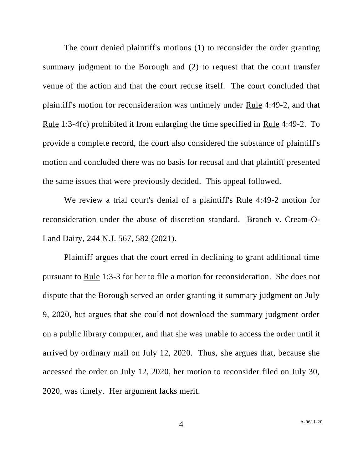The court denied plaintiff's motions (1) to reconsider the order granting summary judgment to the Borough and (2) to request that the court transfer venue of the action and that the court recuse itself. The court concluded that plaintiff's motion for reconsideration was untimely under Rule 4:49-2, and that Rule 1:3-4(c) prohibited it from enlarging the time specified in Rule 4:49-2. To provide a complete record, the court also considered the substance of plaintiff's motion and concluded there was no basis for recusal and that plaintiff presented the same issues that were previously decided. This appeal followed.

We review a trial court's denial of a plaintiff's Rule 4:49-2 motion for reconsideration under the abuse of discretion standard. Branch v. Cream-O-Land Dairy, 244 N.J. 567, 582 (2021).

Plaintiff argues that the court erred in declining to grant additional time pursuant to Rule 1:3-3 for her to file a motion for reconsideration. She does not dispute that the Borough served an order granting it summary judgment on July 9, 2020, but argues that she could not download the summary judgment order on a public library computer, and that she was unable to access the order until it arrived by ordinary mail on July 12, 2020. Thus, she argues that, because she accessed the order on July 12, 2020, her motion to reconsider filed on July 30, 2020, was timely. Her argument lacks merit.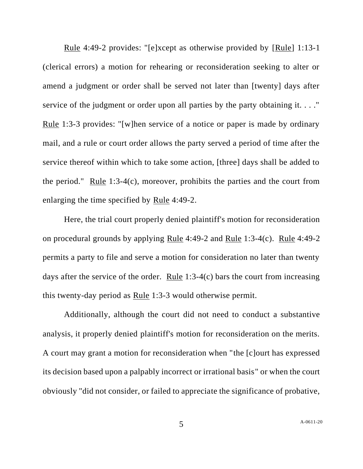Rule 4:49-2 provides: "[e]xcept as otherwise provided by [Rule] 1:13-1 (clerical errors) a motion for rehearing or reconsideration seeking to alter or amend a judgment or order shall be served not later than [twenty] days after service of the judgment or order upon all parties by the party obtaining it. . . ." Rule 1:3-3 provides: "[w]hen service of a notice or paper is made by ordinary mail, and a rule or court order allows the party served a period of time after the service thereof within which to take some action, [three] days shall be added to the period." Rule 1:3-4(c), moreover, prohibits the parties and the court from enlarging the time specified by Rule 4:49-2.

Here, the trial court properly denied plaintiff's motion for reconsideration on procedural grounds by applying Rule 4:49-2 and Rule 1:3-4(c). Rule 4:49-2 permits a party to file and serve a motion for consideration no later than twenty days after the service of the order. Rule 1:3-4(c) bars the court from increasing this twenty-day period as Rule 1:3-3 would otherwise permit.

Additionally, although the court did not need to conduct a substantive analysis, it properly denied plaintiff's motion for reconsideration on the merits. A court may grant a motion for reconsideration when "the [c]ourt has expressed its decision based upon a palpably incorrect or irrational basis" or when the court obviously "did not consider, or failed to appreciate the significance of probative,